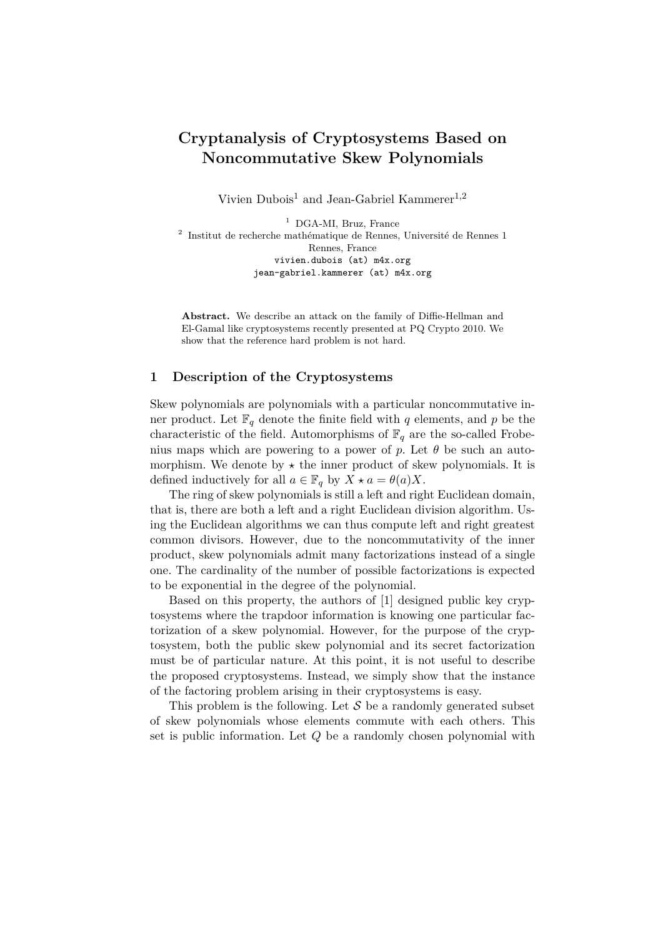# **Cryptanalysis of Cryptosystems Based on Noncommutative Skew Polynomials**

Vivien Dubois<sup>1</sup> and Jean-Gabriel Kammerer<sup>1,2</sup>

<sup>1</sup> DGA-MI, Bruz, France 2 Institut de recherche mathématique de Rennes, Université de Rennes 1 Rennes, France vivien.dubois (at) m4x.org jean-gabriel.kammerer (at) m4x.org

**Abstract.** We describe an attack on the family of Diffie-Hellman and El-Gamal like cryptosystems recently presented at PQ Crypto 2010. We show that the reference hard problem is not hard.

#### **1 Description of the Cryptosystems**

Skew polynomials are polynomials with a particular noncommutative inner product. Let  $\mathbb{F}_q$  denote the finite field with q elements, and p be the characteristic of the field. Automorphisms of  $\mathbb{F}_q$  are the so-called Frobenius maps which are powering to a power of  $p$ . Let  $\theta$  be such an automorphism. We denote by  $\star$  the inner product of skew polynomials. It is defined inductively for all  $a \in \mathbb{F}_q$  by  $X \star a = \theta(a)X$ .

The ring of skew polynomials is still a left and right Euclidean domain, that is, there are both a left and a right Euclidean division algorithm. Using the Euclidean algorithms we can thus compute left and right greatest common divisors. However, due to the noncommutativity of the inner product, skew polynomials admit many factorizations instead of a single one. The cardinality of the number of possible factorizations is expected to be exponential in the degree of the polynomial.

Based on this property, the authors of [1] designed public key cryptosystems where the trapdoor information is knowing one particular factorization of a skew polynomial. However, for the purpose of the cryptosystem, both the public skew polynomial and its secret factorization must be of particular nature. At this point, it is not useful to describe the proposed cryptosystems. Instead, we simply show that the instance of the factoring problem arising in their cryptosystems is easy.

This problem is the following. Let  $S$  be a randomly generated subset of skew polynomials whose elements commute with each others. This set is public information. Let *Q* be a randomly chosen polynomial with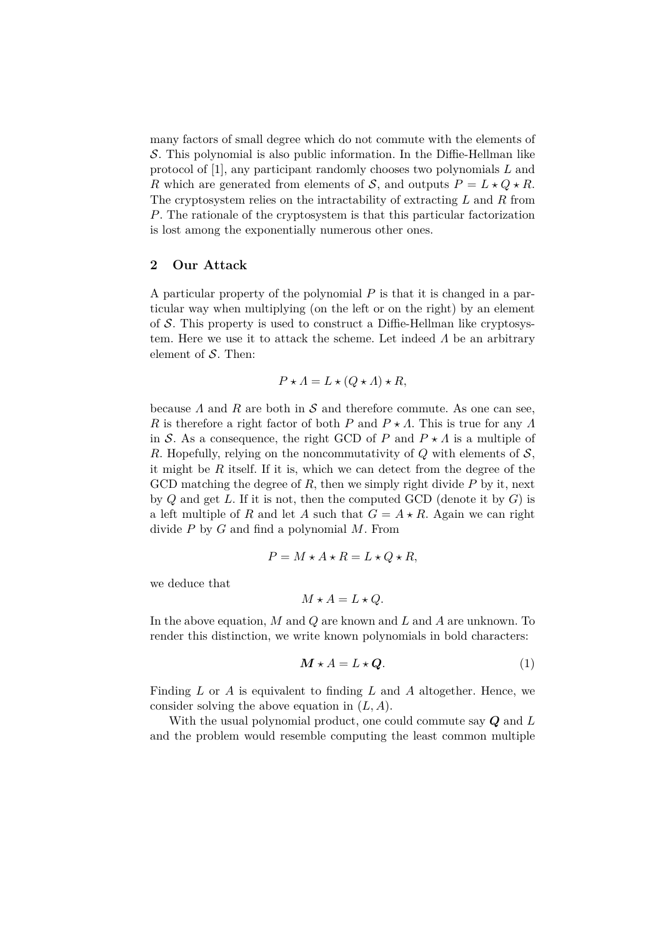many factors of small degree which do not commute with the elements of S. This polynomial is also public information. In the Diffie-Hellman like protocol of [1], any participant randomly chooses two polynomials *L* and *R* which are generated from elements of *S*, and outputs  $P = L \star Q \star R$ . The cryptosystem relies on the intractability of extracting *L* and *R* from *P*. The rationale of the cryptosystem is that this particular factorization is lost among the exponentially numerous other ones.

### **2 Our Attack**

A particular property of the polynomial *P* is that it is changed in a particular way when multiplying (on the left or on the right) by an element of  $S$ . This property is used to construct a Diffie-Hellman like cryptosystem. Here we use it to attack the scheme. Let indeed *Λ* be an arbitrary element of  $S$ . Then:

$$
P \star \Lambda = L \star (Q \star \Lambda) \star R,
$$

because  $\Lambda$  and  $R$  are both in  $\mathcal S$  and therefore commute. As one can see, *R* is therefore a right factor of both *P* and  $P \star \Lambda$ . This is true for any  $\Lambda$ in S. As a consequence, the right GCD of *P* and  $P \star \Lambda$  is a multiple of *R*. Hopefully, relying on the noncommutativity of *Q* with elements of S, it might be *R* itself. If it is, which we can detect from the degree of the GCD matching the degree of *R*, then we simply right divide *P* by it, next by *Q* and get *L*. If it is not, then the computed GCD (denote it by *G*) is a left multiple of *R* and let *A* such that  $G = A \star R$ . Again we can right divide *P* by *G* and find a polynomial *M*. From

$$
P = M \star A \star R = L \star Q \star R,
$$

we deduce that

$$
M \star A = L \star Q.
$$

In the above equation, *M* and *Q* are known and *L* and *A* are unknown. To render this distinction, we write known polynomials in bold characters:

$$
M \star A = L \star Q. \tag{1}
$$

Finding *L* or *A* is equivalent to finding *L* and *A* altogether. Hence, we consider solving the above equation in (*L, A*).

With the usual polynomial product, one could commute say *Q* and *L* and the problem would resemble computing the least common multiple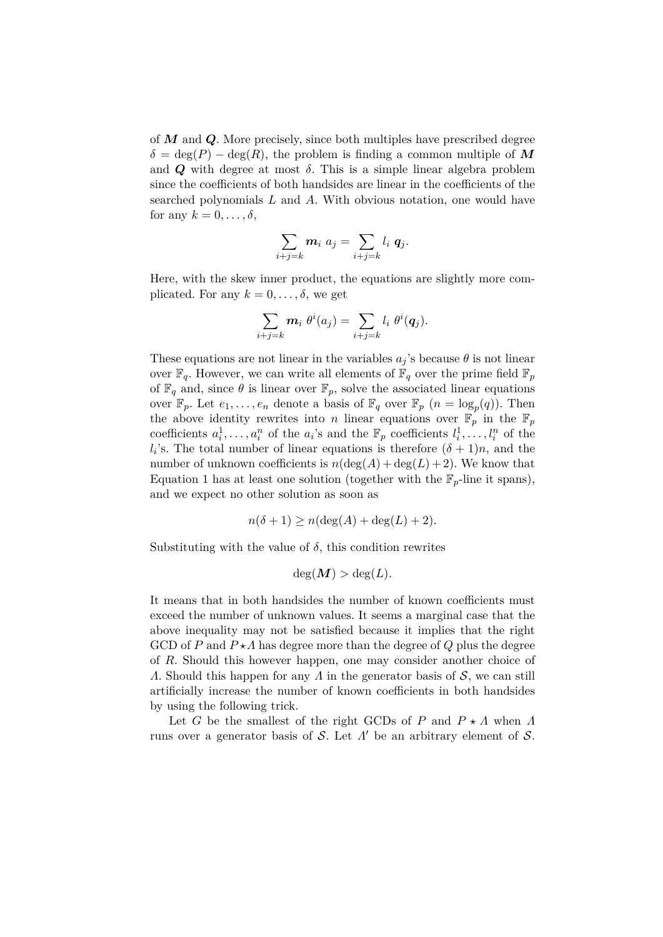of *M* and *Q*. More precisely, since both multiples have prescribed degree  $\delta = \deg(P) - \deg(R)$ , the problem is finding a common multiple of M and  $Q$  with degree at most  $\delta$ . This is a simple linear algebra problem since the coefficients of both handsides are linear in the coefficients of the searched polynomials *L* and *A*. With obvious notation, one would have for any  $k = 0, \ldots, \delta$ ,

$$
\sum_{i+j=k}\boldsymbol{m}_{i} \; a_{j}=\sum_{i+j=k}l_{i} \; \boldsymbol{q}_{j}.
$$

Here, with the skew inner product, the equations are slightly more complicated. For any  $k = 0, \ldots, \delta$ , we get

$$
\sum_{i+j=k} m_i \theta^i(a_j) = \sum_{i+j=k} l_i \theta^i(q_j).
$$

These equations are not linear in the variables  $a_j$ 's because  $\theta$  is not linear over  $\mathbb{F}_q$ . However, we can write all elements of  $\mathbb{F}_q$  over the prime field  $\mathbb{F}_p$ of  $\mathbb{F}_q$  and, since  $\theta$  is linear over  $\mathbb{F}_p$ , solve the associated linear equations over  $\mathbb{F}_p$ . Let  $e_1, \ldots, e_n$  denote a basis of  $\mathbb{F}_q$  over  $\mathbb{F}_p$   $(n = \log_p(q))$ . Then the above identity rewrites into *n* linear equations over  $\mathbb{F}_p$  in the  $\mathbb{F}_p$ coefficients  $a_i^1, \ldots, a_i^n$  of the  $a_i$ 's and the  $\mathbb{F}_p$  coefficients  $l_i^1, \ldots, l_i^n$  of the  $l_i$ 's. The total number of linear equations is therefore  $(\delta + 1)n$ , and the number of unknown coefficients is  $n(\deg(A) + \deg(L) + 2)$ . We know that Equation 1 has at least one solution (together with the  $\mathbb{F}_p$ -line it spans), and we expect no other solution as soon as

$$
n(\delta + 1) \ge n(\deg(A) + \deg(L) + 2).
$$

Substituting with the value of  $\delta$ , this condition rewrites

$$
\deg(M) > \deg(L).
$$

It means that in both handsides the number of known coefficients must exceed the number of unknown values. It seems a marginal case that the above inequality may not be satisfied because it implies that the right GCD of *P* and  $P \star \Lambda$  has degree more than the degree of *Q* plus the degree of *R*. Should this however happen, one may consider another choice of *Λ*. Should this happen for any *Λ* in the generator basis of S, we can still artificially increase the number of known coefficients in both handsides by using the following trick.

Let *G* be the smallest of the right GCDs of *P* and  $P \star \Lambda$  when  $\Lambda$ runs over a generator basis of S. Let  $\Lambda'$  be an arbitrary element of S.